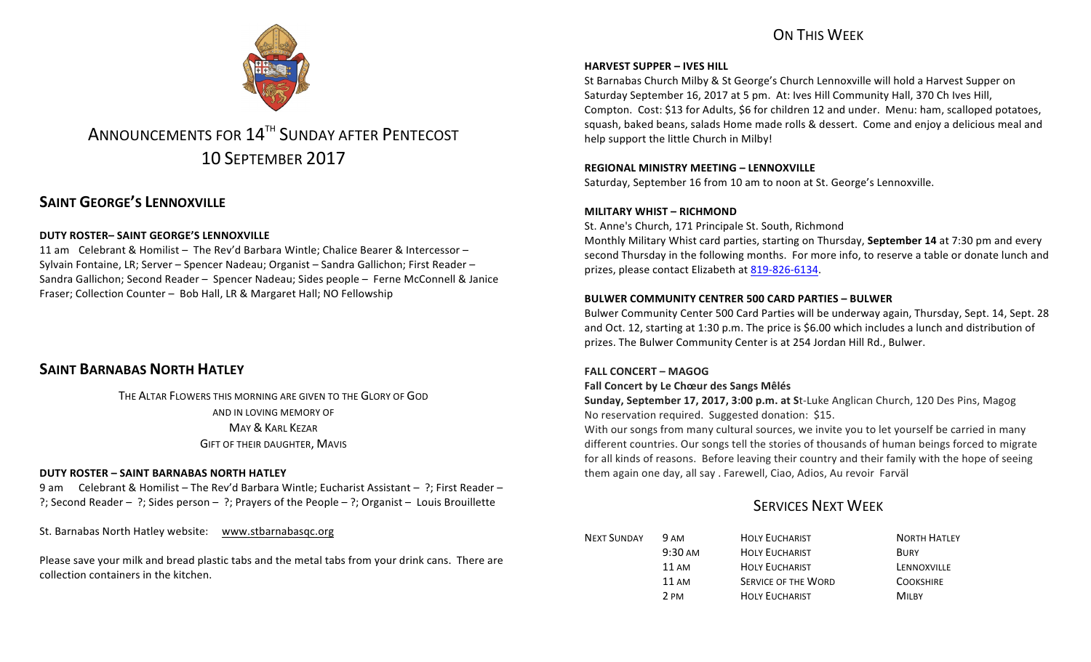# ON THIS WFFK



# ANNOUNCEMENTS FOR 14<sup>TH</sup> SUNDAY AFTER PENTECOST 10 SEPTEMBER 2017

# **SAINT GEORGE'S LENNOXVILLE**

### **DUTY ROSTER– SAINT GEORGE'S LENNOXVILLE**

11 am Celebrant & Homilist – The Rev'd Barbara Wintle; Chalice Bearer & Intercessor – Sylvain Fontaine, LR; Server – Spencer Nadeau; Organist – Sandra Gallichon; First Reader – Sandra Gallichon; Second Reader – Spencer Nadeau; Sides people – Ferne McConnell & Janice Fraser; Collection Counter – Bob Hall, LR & Margaret Hall; NO Fellowship

# **SAINT BARNABAS NORTH HATLEY**

THE ALTAR FLOWERS THIS MORNING ARE GIVEN TO THE GLORY OF GOD AND IN LOVING MEMORY OF **MAY & KARL KEZAR** GIFT OF THEIR DAUGHTER, MAVIS

### **DUTY ROSTER – SAINT BARNABAS NORTH HATLEY**

9 am Celebrant & Homilist – The Rev'd Barbara Wintle; Eucharist Assistant – ?; First Reader – ?; Second Reader – ?; Sides person – ?; Prayers of the People – ?; Organist – Louis Brouillette

St. Barnabas North Hatley website: www.stbarnabasqc.org

Please save your milk and bread plastic tabs and the metal tabs from your drink cans. There are collection containers in the kitchen.

### **HARVEST SUPPER - IVES HILL**

St Barnabas Church Milby & St George's Church Lennoxville will hold a Harvest Supper on Saturday September 16, 2017 at 5 pm. At: Ives Hill Community Hall, 370 Ch Ives Hill, Compton. Cost: \$13 for Adults, \$6 for children 12 and under. Menu: ham, scalloped potatoes, squash, baked beans, salads Home made rolls & dessert. Come and enjoy a delicious meal and help support the little Church in Milby!

### **REGIONAL MINISTRY MEETING – LENNOXVILLE**

Saturday, September 16 from 10 am to noon at St. George's Lennoxville.

### **MILITARY WHIST – RICHMOND**

St. Anne's Church, 171 Principale St. South, Richmond Monthly Military Whist card parties, starting on Thursday, **September 14** at 7:30 pm and every second Thursday in the following months. For more info, to reserve a table or donate lunch and prizes, please contact Elizabeth at 819-826-6134.

### **BULWER COMMUNITY CENTRER 500 CARD PARTIES – BULWER**

Bulwer Community Center 500 Card Parties will be underway again, Thursday, Sept. 14, Sept. 28 and Oct. 12, starting at 1:30 p.m. The price is \$6.00 which includes a lunch and distribution of prizes. The Bulwer Community Center is at 254 Jordan Hill Rd., Bulwer.

### **FALL CONCERT – MAGOG**

### **Fall Concert by Le Chœur des Sangs Mêlés**

**Sunday, September 17, 2017, 3:00 p.m. at St-Luke Anglican Church, 120 Des Pins, Magog** No reservation required. Suggested donation: \$15.

With our songs from many cultural sources, we invite you to let yourself be carried in many different countries. Our songs tell the stories of thousands of human beings forced to migrate for all kinds of reasons. Before leaving their country and their family with the hope of seeing them again one day, all say . Farewell, Ciao, Adios, Au revoir Farväl

### **SERVICES NEXT WEEK**

| <b>NEXT SUNDAY</b> | <b>9 AM</b>       | <b>HOLY EUCHARIST</b>      | <b>NORTH HATLEY</b> |
|--------------------|-------------------|----------------------------|---------------------|
|                    | $9:30 \text{ AM}$ | <b>HOLY EUCHARIST</b>      | <b>BURY</b>         |
|                    | 11 AM             | <b>HOLY EUCHARIST</b>      | LENNOXVILLE         |
|                    | 11 AM             | <b>SERVICE OF THE WORD</b> | <b>COOKSHIRE</b>    |
|                    | 2 PM              | <b>HOLY EUCHARIST</b>      | Mil BY              |